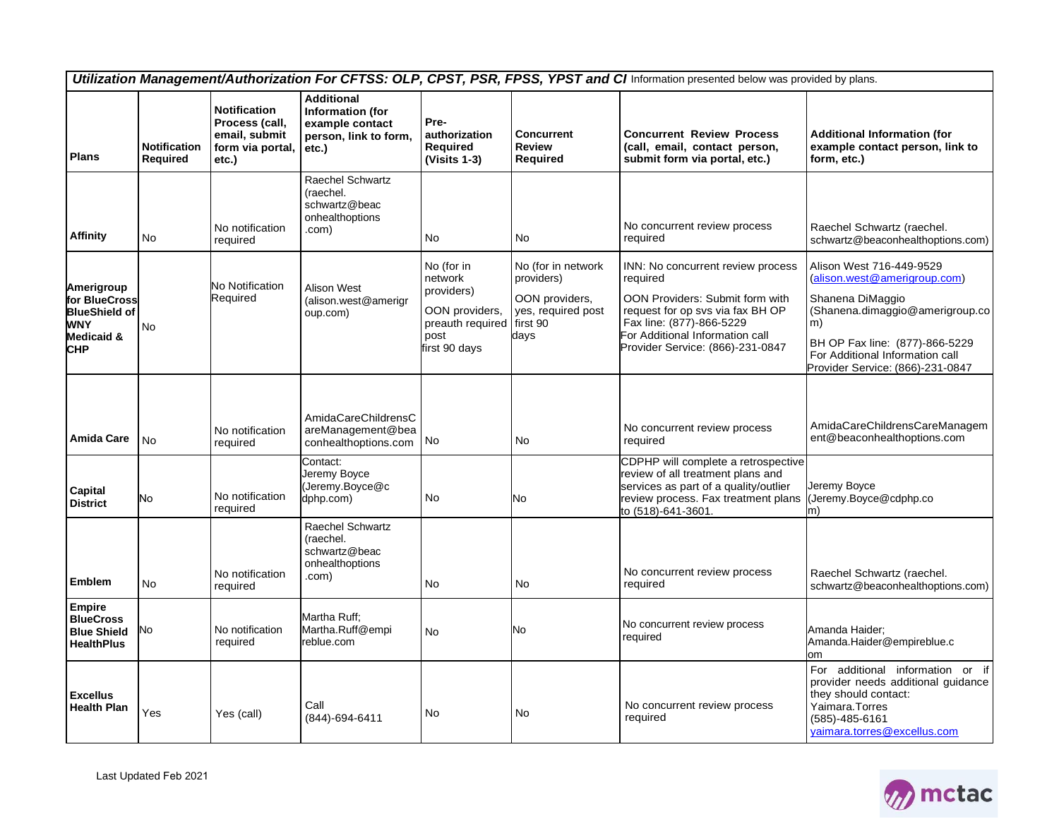| Utilization Management/Authorization For CFTSS: OLP, CPST, PSR, FPSS, YPST and CI Information presented below was provided by plans. |                                        |                                                                                     |                                                                                                   |                                                                                                             |                                                                                  |                                                                                                                                                                                                                         |                                                                                                                                                                                                                                |  |
|--------------------------------------------------------------------------------------------------------------------------------------|----------------------------------------|-------------------------------------------------------------------------------------|---------------------------------------------------------------------------------------------------|-------------------------------------------------------------------------------------------------------------|----------------------------------------------------------------------------------|-------------------------------------------------------------------------------------------------------------------------------------------------------------------------------------------------------------------------|--------------------------------------------------------------------------------------------------------------------------------------------------------------------------------------------------------------------------------|--|
| <b>Plans</b>                                                                                                                         | <b>Notification</b><br><b>Required</b> | <b>Notification</b><br>Process (call,<br>email, submit<br>form via portal,<br>etc.) | <b>Additional</b><br><b>Information</b> (for<br>example contact<br>person, link to form,<br>etc.) | Pre-<br>authorization<br>Required<br>$(Visits 1-3)$                                                         | <b>Concurrent</b><br><b>Review</b><br><b>Required</b>                            | <b>Concurrent Review Process</b><br>(call, email, contact person,<br>submit form via portal, etc.)                                                                                                                      | <b>Additional Information (for</b><br>example contact person, link to<br>form, etc.)                                                                                                                                           |  |
| <b>Affinity</b>                                                                                                                      | No                                     | No notification<br>required                                                         | Raechel Schwartz<br>(raechel.<br>schwartz@beac<br>onhealthoptions<br>.com)                        | No                                                                                                          | No                                                                               | No concurrent review process<br>required                                                                                                                                                                                | Raechel Schwartz (raechel.<br>schwartz@beaconhealthoptions.com)                                                                                                                                                                |  |
| Amerigroup<br>for BlueCross<br><b>BlueShield of</b><br>WNY<br>Medicaid &<br><b>CHP</b>                                               | <b>No</b>                              | No Notification<br>Required                                                         | Alison West<br>(alison.west@amerigr<br>oup.com)                                                   | No (for in<br>network<br>providers)<br>OON providers,<br>preauth required first 90<br>post<br>first 90 days | No (for in network<br>providers)<br>OON providers,<br>yes, required post<br>days | INN: No concurrent review process<br>required<br>OON Providers: Submit form with<br>request for op svs via fax BH OP<br>Fax line: (877)-866-5229<br>For Additional Information call<br>Provider Service: (866)-231-0847 | Alison West 716-449-9529<br>(alison.west@amerigroup.com)<br>Shanena DiMaggio<br>(Shanena.dimaggio@amerigroup.co<br>m)<br>BH OP Fax line: (877)-866-5229<br>For Additional Information call<br>Provider Service: (866)-231-0847 |  |
| <b>Amida Care</b>                                                                                                                    | No                                     | No notification<br>required                                                         | AmidaCareChildrensC<br>areManagement@bea<br>conhealthoptions.com                                  | No                                                                                                          | No                                                                               | No concurrent review process<br>required                                                                                                                                                                                | AmidaCareChildrensCareManagem<br>ent@beaconhealthoptions.com                                                                                                                                                                   |  |
| Capital<br><b>District</b>                                                                                                           | No                                     | No notification<br>required                                                         | Contact:<br>Jeremy Boyce<br>(Jeremy.Boyce@c<br>dphp.com)                                          | <b>No</b>                                                                                                   | No                                                                               | CDPHP will complete a retrospective<br>review of all treatment plans and<br>services as part of a quality/outlier<br>review process. Fax treatment plans<br>to (518)-641-3601.                                          | Jeremy Boyce<br>(Jeremy.Boyce@cdphp.co<br>m)                                                                                                                                                                                   |  |
| Emblem                                                                                                                               | No                                     | No notification<br>required                                                         | <b>Raechel Schwartz</b><br>(raechel.<br>schwartz@beac<br>onhealthoptions<br>.com)                 | No                                                                                                          | No                                                                               | No concurrent review process<br>required                                                                                                                                                                                | Raechel Schwartz (raechel.<br>schwartz@beaconhealthoptions.com)                                                                                                                                                                |  |
| <b>Empire</b><br><b>BlueCross</b><br><b>Blue Shield</b><br><b>HealthPlus</b>                                                         | No                                     | No notification<br>required                                                         | Martha Ruff;<br>Martha.Ruff@empi<br>reblue.com                                                    | <b>No</b>                                                                                                   | No                                                                               | No concurrent review process<br>required                                                                                                                                                                                | Amanda Haider;<br>Amanda.Haider@empireblue.c<br>om                                                                                                                                                                             |  |
| <b>Excellus</b><br><b>Health Plan</b>                                                                                                | Yes                                    | Yes (call)                                                                          | Call<br>(844)-694-6411                                                                            | No                                                                                                          | No                                                                               | No concurrent review process<br>required                                                                                                                                                                                | For additional information or if<br>provider needs additional guidance<br>they should contact:<br>Yaimara.Torres<br>$(585) - 485 - 6161$<br>yaimara.torres@excellus.com                                                        |  |

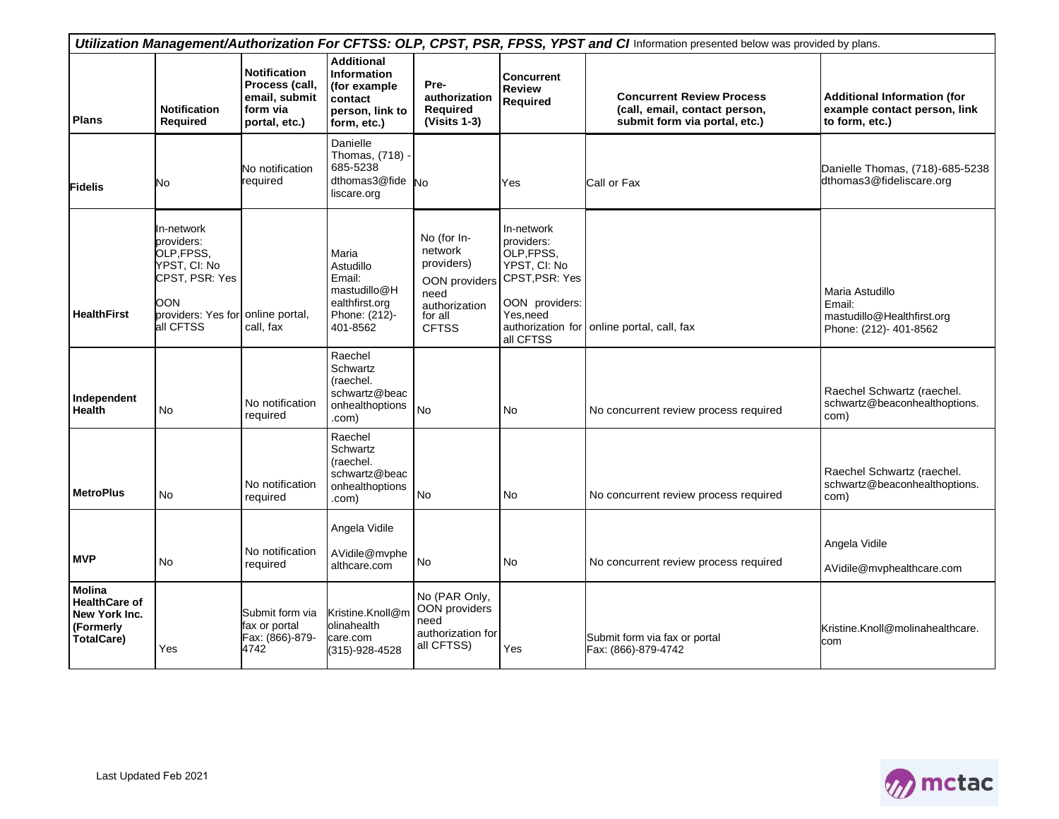| Utilization Management/Authorization For CFTSS: OLP, CPST, PSR, FPSS, YPST and CI Information presented below was provided by plans. |                                                                                                                                   |                                                                                     |                                                                                                      |                                                                                          |                                                                                                                                                         |                                                                                                    |                                                                                      |
|--------------------------------------------------------------------------------------------------------------------------------------|-----------------------------------------------------------------------------------------------------------------------------------|-------------------------------------------------------------------------------------|------------------------------------------------------------------------------------------------------|------------------------------------------------------------------------------------------|---------------------------------------------------------------------------------------------------------------------------------------------------------|----------------------------------------------------------------------------------------------------|--------------------------------------------------------------------------------------|
| <b>Plans</b>                                                                                                                         | <b>Notification</b><br><b>Required</b>                                                                                            | <b>Notification</b><br>Process (call,<br>email, submit<br>form via<br>portal, etc.) | <b>Additional</b><br><b>Information</b><br>(for example<br>contact<br>person, link to<br>form, etc.) | Pre-<br>authorization<br>Required<br>$(Visits 1-3)$                                      | <b>Concurrent</b><br><b>Review</b><br>Required                                                                                                          | <b>Concurrent Review Process</b><br>(call, email, contact person,<br>submit form via portal, etc.) | <b>Additional Information (for</b><br>example contact person, link<br>to form, etc.) |
| <b>Fidelis</b>                                                                                                                       | No                                                                                                                                | No notification<br>required                                                         | Danielle<br>Thomas, (718)<br>685-5238<br>dthomas3@fide<br>liscare.org                                | <b>No</b>                                                                                | Yes                                                                                                                                                     | Call or Fax                                                                                        | Danielle Thomas, (718)-685-5238<br>dthomas3@fideliscare.org                          |
| <b>HealthFirst</b>                                                                                                                   | In-network<br>providers:<br>OLP, FPSS,<br>YPST. CI: No<br>CPST, PSR: Yes<br>OON<br>providers: Yes for online portal,<br>all CFTSS | call, fax                                                                           | Maria<br>Astudillo<br>Email:<br>mastudillo@H<br>ealthfirst.org<br>Phone: (212)-<br>401-8562          | No (for In-<br>network<br>providers)<br>need<br>authorization<br>for all<br><b>CFTSS</b> | In-network<br>providers:<br>OLP, FPSS,<br>YPST. CI: No<br>OON providers CPST, PSR: Yes<br>OON providers:<br>Yes, need<br>authorization for<br>all CFTSS | online portal, call, fax                                                                           | Maria Astudillo<br>Email:<br>mastudillo@Healthfirst.org<br>Phone: (212)- 401-8562    |
| Independent<br><b>Health</b>                                                                                                         | <b>No</b>                                                                                                                         | No notification<br>required                                                         | Raechel<br>Schwartz<br>(raechel.<br>schwartz@beac<br>onhealthoptions<br>.com)                        | <b>No</b>                                                                                | <b>No</b>                                                                                                                                               | No concurrent review process required                                                              | Raechel Schwartz (raechel.<br>schwartz@beaconhealthoptions.<br>com)                  |
| <b>MetroPlus</b>                                                                                                                     | <b>No</b>                                                                                                                         | No notification<br>required                                                         | Raechel<br>Schwartz<br>(raechel.<br>schwartz@beac<br>onhealthoptions<br>.com)                        | No                                                                                       | No                                                                                                                                                      | No concurrent review process required                                                              | Raechel Schwartz (raechel.<br>schwartz@beaconhealthoptions.<br>com)                  |
| <b>MVP</b>                                                                                                                           | <b>No</b>                                                                                                                         | No notification<br>required                                                         | Angela Vidile<br>AVidile@mvphe<br>althcare.com                                                       | No                                                                                       | No                                                                                                                                                      | No concurrent review process required                                                              | Angela Vidile<br>AVidile@mvphealthcare.com                                           |
| Molina<br><b>HealthCare of</b><br>New York Inc.<br>(Formerly<br><b>TotalCare)</b>                                                    | Yes                                                                                                                               | Submit form via<br>fax or portal<br>Fax: (866)-879-<br>4742                         | Kristine.Knoll@m<br>olinahealth<br>care.com<br>(315)-928-4528                                        | No (PAR Only,<br>OON providers<br>need<br>authorization for<br>all CFTSS)                | Yes                                                                                                                                                     | Submit form via fax or portal<br>Fax: (866)-879-4742                                               | Kristine.Knoll@molinahealthcare.<br>com                                              |